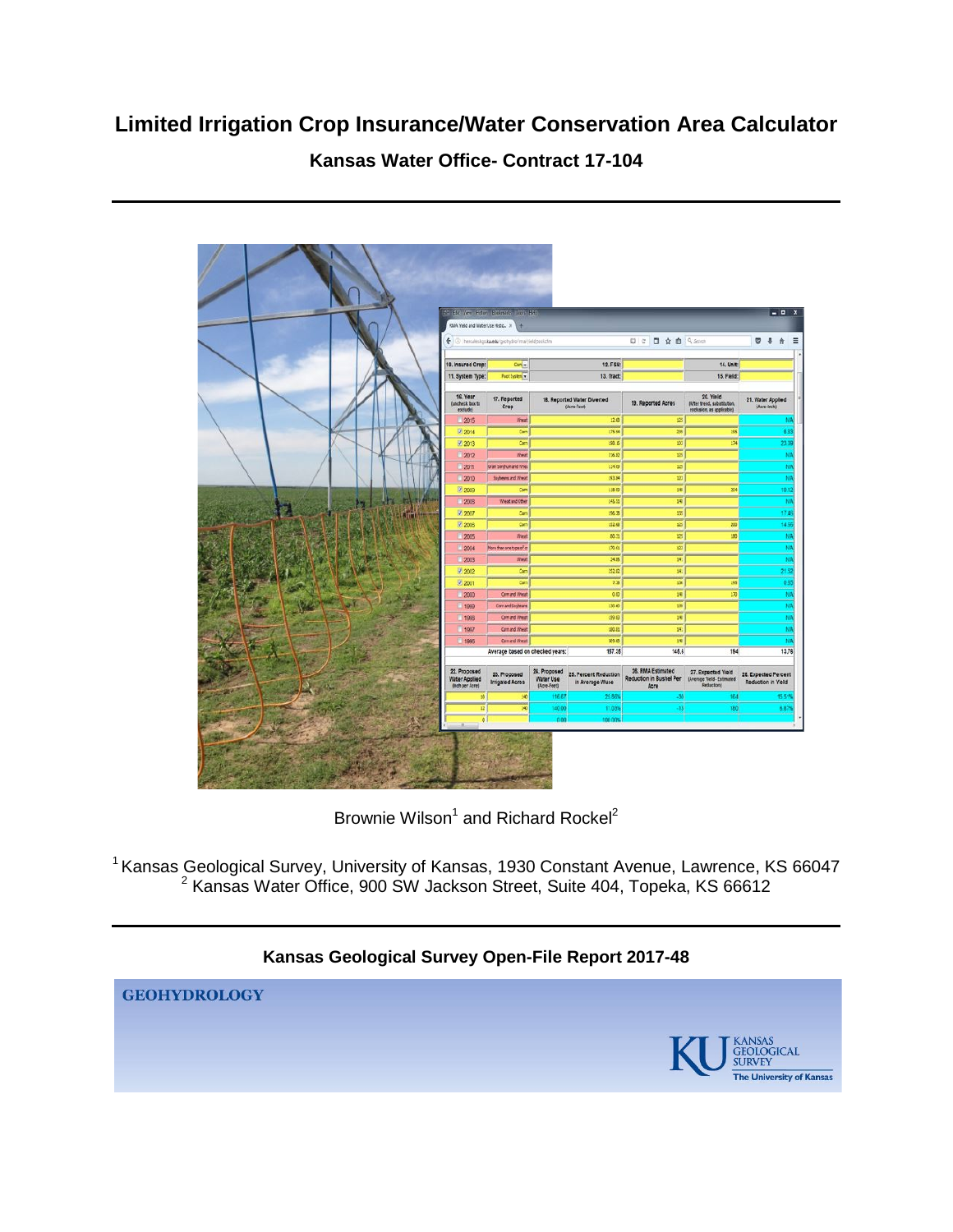# **Limited Irrigation Crop Insurance/Water Conservation Area Calculator**

## **Kansas Water Office- Contract 17-104**



Brownie Wilson<sup>1</sup> and Richard Rockel<sup>2</sup>

 $<sup>1</sup>$  Kansas Geological Survey, University of Kansas, 1930 Constant Avenue, Lawrence, KS 66047</sup>  $2$  Kansas Water Office, 900 SW Jackson Street, Suite 404, Topeka, KS 66612

## **Kansas Geological Survey Open-File Report 2017-48**

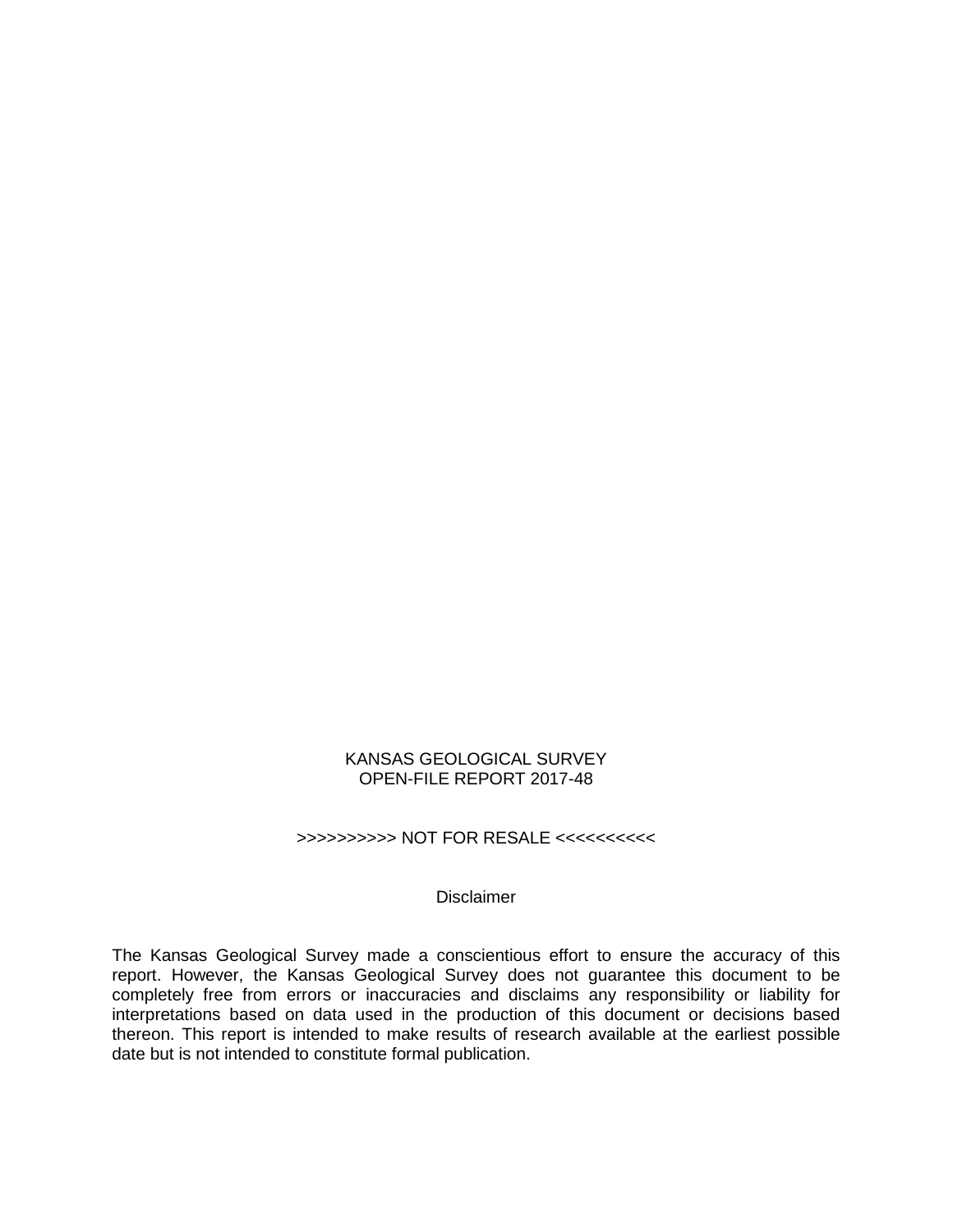#### KANSAS GEOLOGICAL SURVEY OPEN-FILE REPORT 2017-48

## >>>>>>>>>> NOT FOR RESALE <<<<<<<<<<

#### Disclaimer

The Kansas Geological Survey made a conscientious effort to ensure the accuracy of this report. However, the Kansas Geological Survey does not guarantee this document to be completely free from errors or inaccuracies and disclaims any responsibility or liability for interpretations based on data used in the production of this document or decisions based thereon. This report is intended to make results of research available at the earliest possible date but is not intended to constitute formal publication.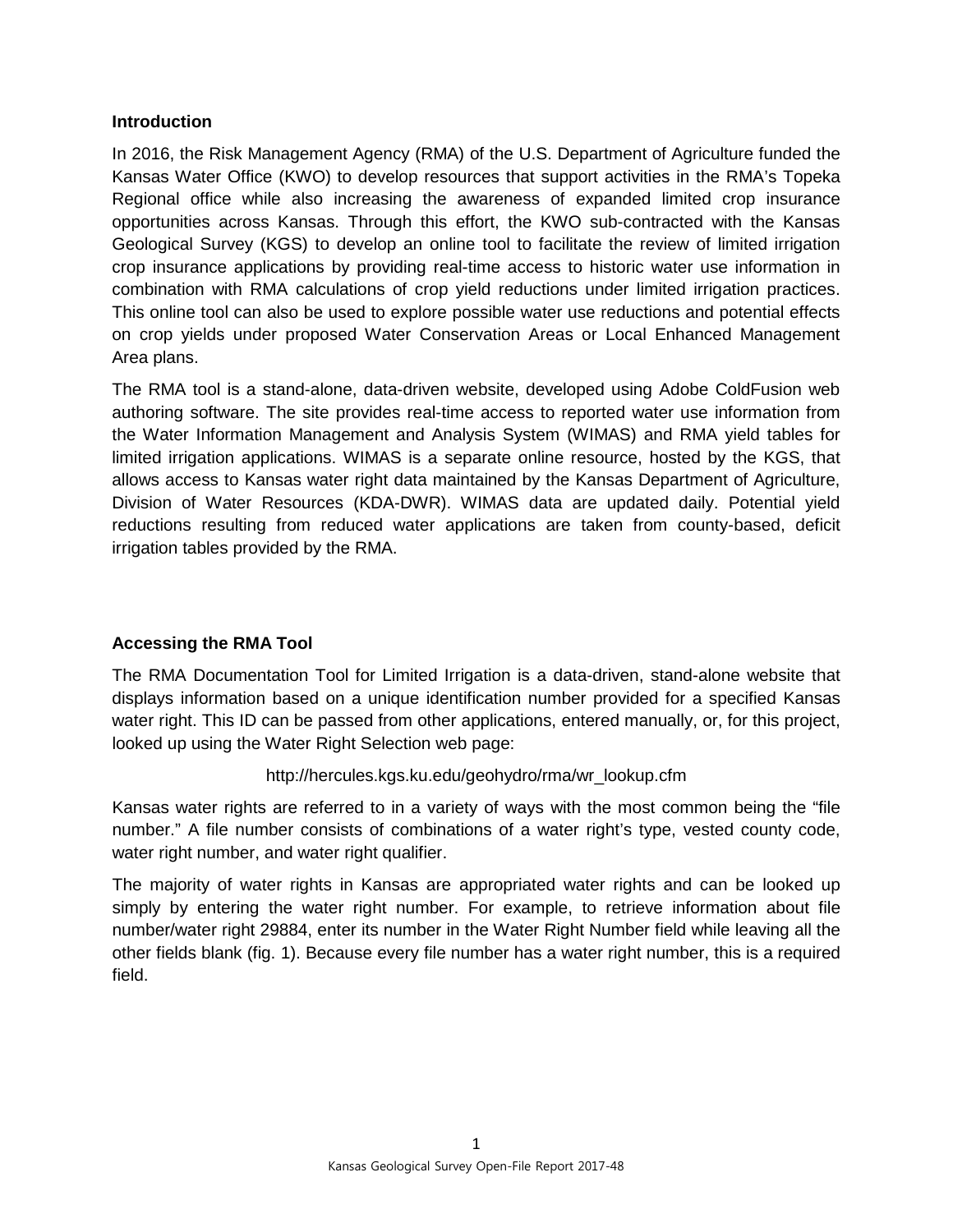## **Introduction**

In 2016, the Risk Management Agency (RMA) of the U.S. Department of Agriculture funded the Kansas Water Office (KWO) to develop resources that support activities in the RMA's Topeka Regional office while also increasing the awareness of expanded limited crop insurance opportunities across Kansas. Through this effort, the KWO sub-contracted with the Kansas Geological Survey (KGS) to develop an online tool to facilitate the review of limited irrigation crop insurance applications by providing real-time access to historic water use information in combination with RMA calculations of crop yield reductions under limited irrigation practices. This online tool can also be used to explore possible water use reductions and potential effects on crop yields under proposed Water Conservation Areas or Local Enhanced Management Area plans.

The RMA tool is a stand-alone, data-driven website, developed using Adobe ColdFusion web authoring software. The site provides real-time access to reported water use information from the Water Information Management and Analysis System (WIMAS) and RMA yield tables for limited irrigation applications. WIMAS is a separate online resource, hosted by the KGS, that allows access to Kansas water right data maintained by the Kansas Department of Agriculture, Division of Water Resources (KDA-DWR). WIMAS data are updated daily. Potential yield reductions resulting from reduced water applications are taken from county-based, deficit irrigation tables provided by the RMA.

## **Accessing the RMA Tool**

The RMA Documentation Tool for Limited Irrigation is a data-driven, stand-alone website that displays information based on a unique identification number provided for a specified Kansas water right. This ID can be passed from other applications, entered manually, or, for this project, looked up using the Water Right Selection web page:

## http://hercules.kgs.ku.edu/geohydro/rma/wr\_lookup.cfm

Kansas water rights are referred to in a variety of ways with the most common being the "file number." A file number consists of combinations of a water right's type, vested county code, water right number, and water right qualifier.

The majority of water rights in Kansas are appropriated water rights and can be looked up simply by entering the water right number. For example, to retrieve information about file number/water right 29884, enter its number in the Water Right Number field while leaving all the other fields blank (fig. 1). Because every file number has a water right number, this is a required field.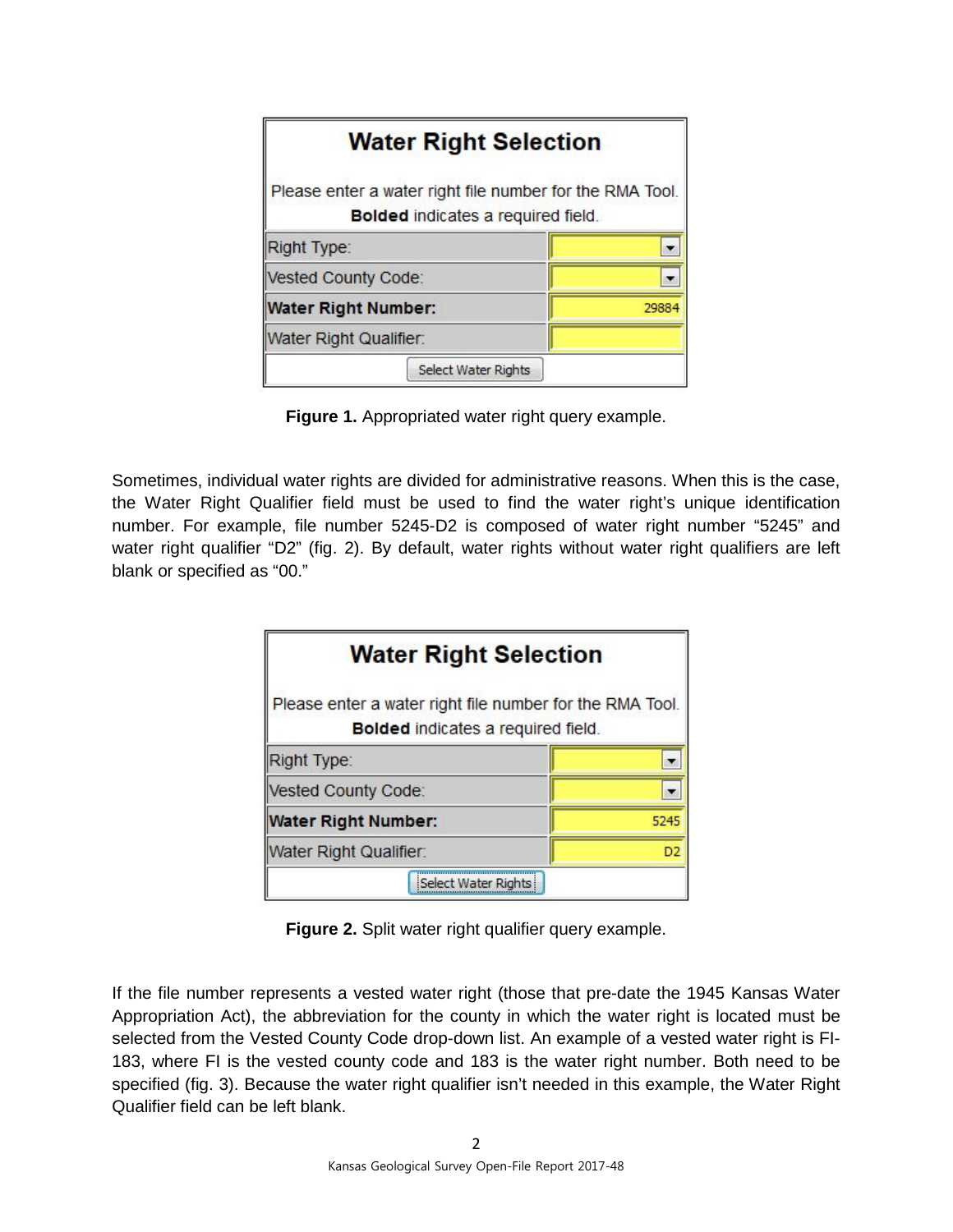| <b>Water Right Selection</b>                                                                          |       |
|-------------------------------------------------------------------------------------------------------|-------|
| Please enter a water right file number for the RMA Tool.<br><b>Bolded indicates a required field.</b> |       |
| Right Type:                                                                                           |       |
| Vested County Code:                                                                                   |       |
| <b>Water Right Number:</b>                                                                            | 29884 |
| Water Right Qualifier:                                                                                |       |
| <b>Select Water Rights</b>                                                                            |       |

**Figure 1.** Appropriated water right query example.

Sometimes, individual water rights are divided for administrative reasons. When this is the case, the Water Right Qualifier field must be used to find the water right's unique identification number. For example, file number 5245-D2 is composed of water right number "5245" and water right qualifier "D2" (fig. 2). By default, water rights without water right qualifiers are left blank or specified as "00."

| <b>Water Right Selection</b>                                                                          |                |  |  |  |  |
|-------------------------------------------------------------------------------------------------------|----------------|--|--|--|--|
| Please enter a water right file number for the RMA Tool.<br><b>Bolded indicates a required field.</b> |                |  |  |  |  |
| Right Type:                                                                                           |                |  |  |  |  |
| Vested County Code:                                                                                   |                |  |  |  |  |
| <b>Water Right Number:</b><br>5245                                                                    |                |  |  |  |  |
| Water Right Qualifier:                                                                                |                |  |  |  |  |
| Select Water Rights                                                                                   | D <sub>2</sub> |  |  |  |  |

**Figure 2.** Split water right qualifier query example.

If the file number represents a vested water right (those that pre-date the 1945 Kansas Water Appropriation Act), the abbreviation for the county in which the water right is located must be selected from the Vested County Code drop-down list. An example of a vested water right is FI-183, where FI is the vested county code and 183 is the water right number. Both need to be specified (fig. 3). Because the water right qualifier isn't needed in this example, the Water Right Qualifier field can be left blank.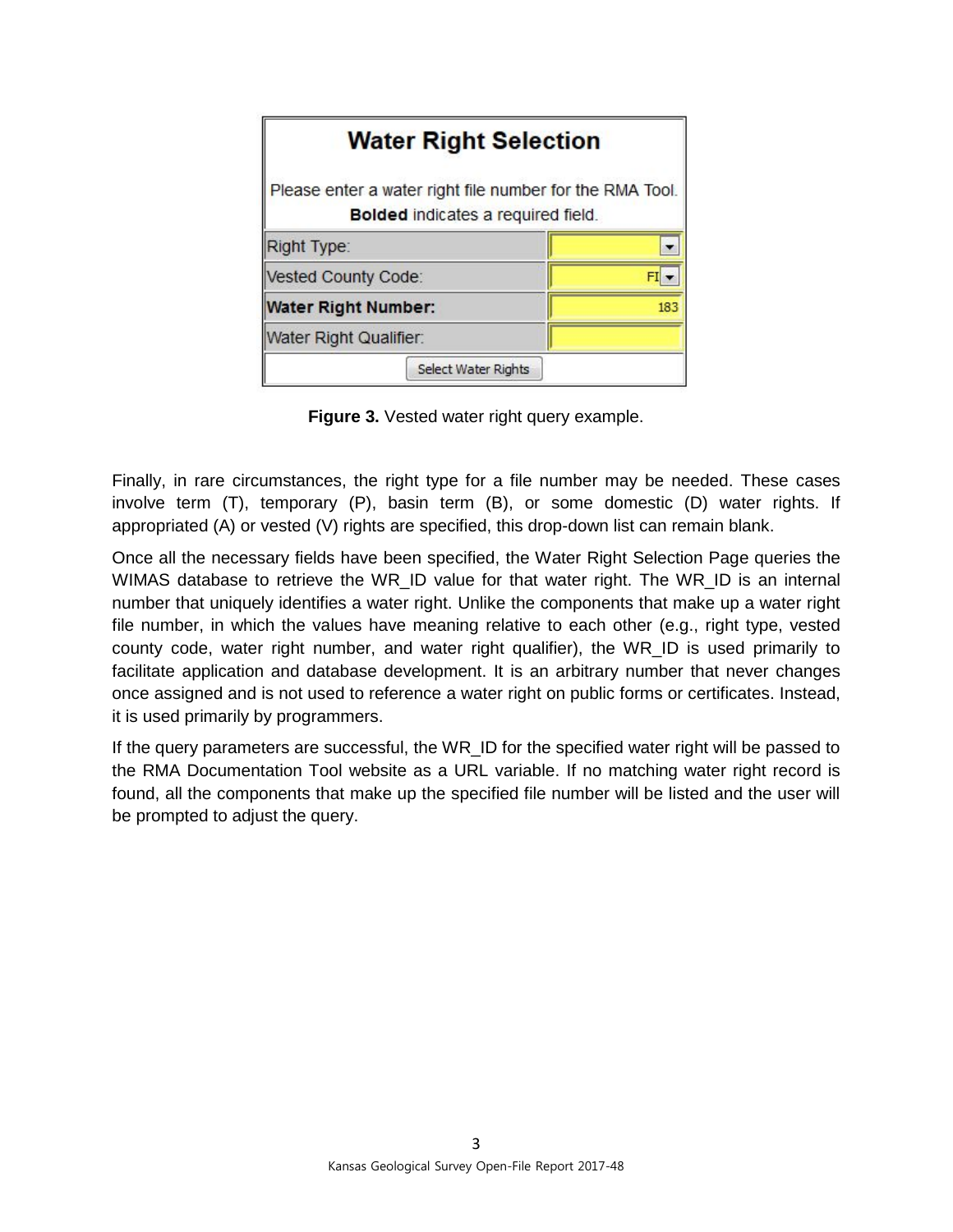| <b>Water Right Selection</b>                                                                          |  |  |  |  |  |
|-------------------------------------------------------------------------------------------------------|--|--|--|--|--|
| Please enter a water right file number for the RMA Tool.<br><b>Bolded indicates a required field.</b> |  |  |  |  |  |
| Right Type:                                                                                           |  |  |  |  |  |
| Vested County Code:                                                                                   |  |  |  |  |  |
| <b>Water Right Number:</b>                                                                            |  |  |  |  |  |
| Water Right Qualifier:                                                                                |  |  |  |  |  |
| <b>Select Water Rights</b>                                                                            |  |  |  |  |  |

**Figure 3.** Vested water right query example.

Finally, in rare circumstances, the right type for a file number may be needed. These cases involve term (T), temporary (P), basin term (B), or some domestic (D) water rights. If appropriated (A) or vested (V) rights are specified, this drop-down list can remain blank.

Once all the necessary fields have been specified, the Water Right Selection Page queries the WIMAS database to retrieve the WR\_ID value for that water right. The WR\_ID is an internal number that uniquely identifies a water right. Unlike the components that make up a water right file number, in which the values have meaning relative to each other (e.g., right type, vested county code, water right number, and water right qualifier), the WR\_ID is used primarily to facilitate application and database development. It is an arbitrary number that never changes once assigned and is not used to reference a water right on public forms or certificates. Instead, it is used primarily by programmers.

If the query parameters are successful, the WR\_ID for the specified water right will be passed to the RMA Documentation Tool website as a URL variable. If no matching water right record is found, all the components that make up the specified file number will be listed and the user will be prompted to adjust the query.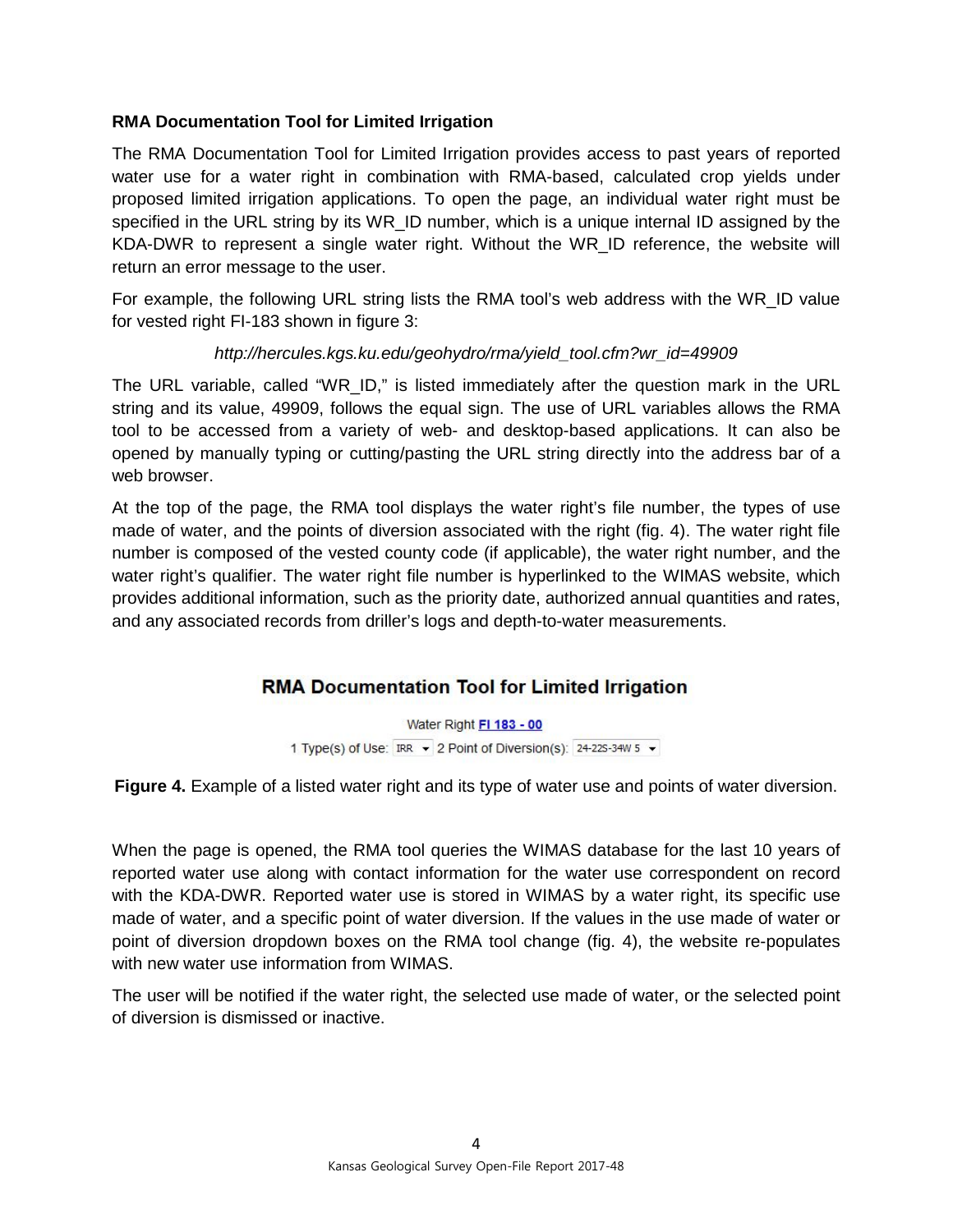## **RMA Documentation Tool for Limited Irrigation**

The RMA Documentation Tool for Limited Irrigation provides access to past years of reported water use for a water right in combination with RMA-based, calculated crop yields under proposed limited irrigation applications. To open the page, an individual water right must be specified in the URL string by its WR\_ID number, which is a unique internal ID assigned by the KDA-DWR to represent a single water right. Without the WR\_ID reference, the website will return an error message to the user.

For example, the following URL string lists the RMA tool's web address with the WR\_ID value for vested right FI-183 shown in figure 3:

## *http://hercules.kgs.ku.edu/geohydro/rma/yield\_tool.cfm?wr\_id=49909*

The URL variable, called "WR\_ID," is listed immediately after the question mark in the URL string and its value, 49909, follows the equal sign. The use of URL variables allows the RMA tool to be accessed from a variety of web- and desktop-based applications. It can also be opened by manually typing or cutting/pasting the URL string directly into the address bar of a web browser.

At the top of the page, the RMA tool displays the water right's file number, the types of use made of water, and the points of diversion associated with the right (fig. 4). The water right file number is composed of the vested county code (if applicable), the water right number, and the water right's qualifier. The water right file number is hyperlinked to the WIMAS website, which provides additional information, such as the priority date, authorized annual quantities and rates, and any associated records from driller's logs and depth-to-water measurements.

## **RMA Documentation Tool for Limited Irrigation**

Water Right FI 183 - 00 1 Type(s) of Use: IRR v 2 Point of Diversion(s): 24-225-34W 5 v

**Figure 4.** Example of a listed water right and its type of water use and points of water diversion.

When the page is opened, the RMA tool queries the WIMAS database for the last 10 years of reported water use along with contact information for the water use correspondent on record with the KDA-DWR. Reported water use is stored in WIMAS by a water right, its specific use made of water, and a specific point of water diversion. If the values in the use made of water or point of diversion dropdown boxes on the RMA tool change (fig. 4), the website re-populates with new water use information from WIMAS.

The user will be notified if the water right, the selected use made of water, or the selected point of diversion is dismissed or inactive.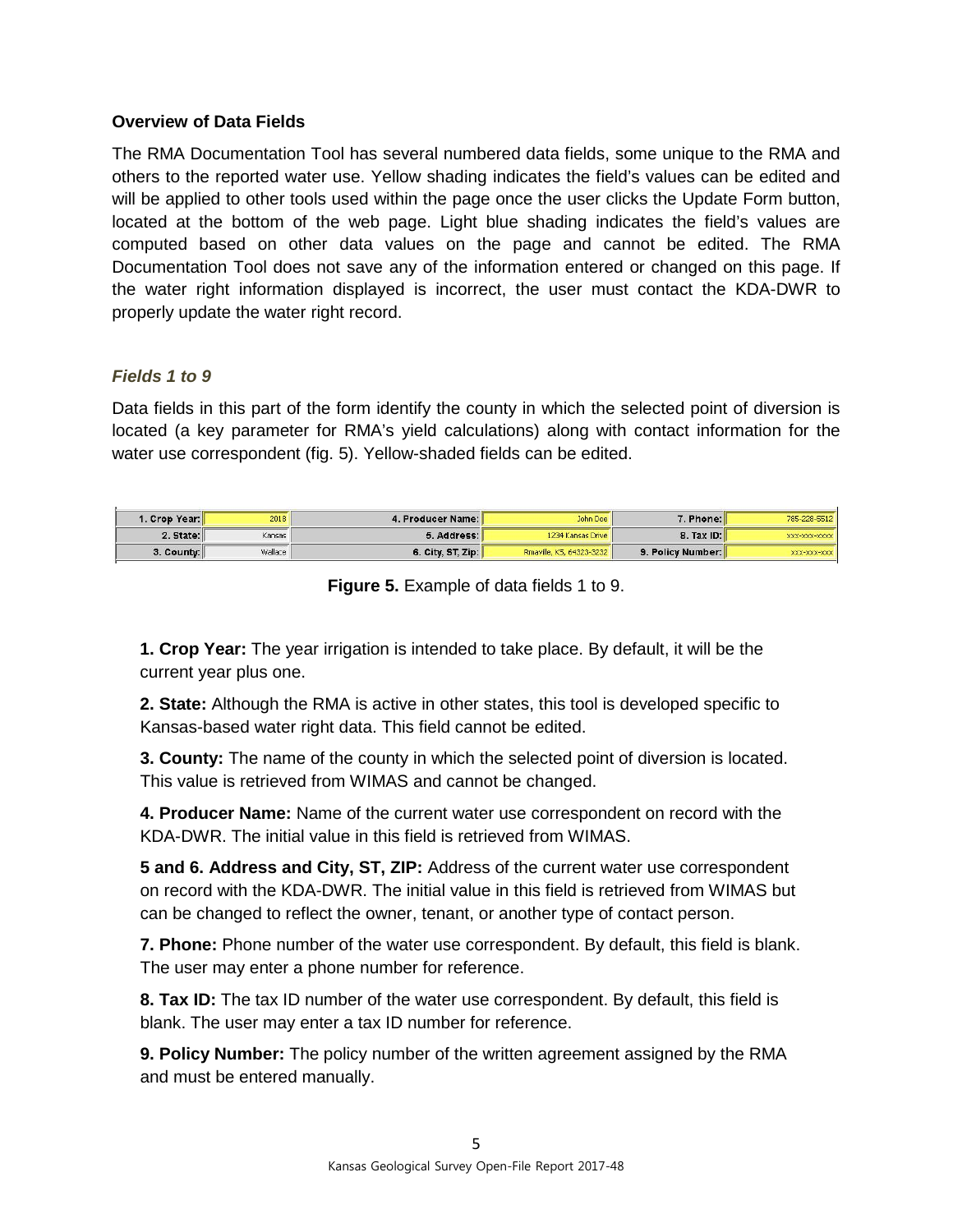#### **Overview of Data Fields**

The RMA Documentation Tool has several numbered data fields, some unique to the RMA and others to the reported water use. Yellow shading indicates the field's values can be edited and will be applied to other tools used within the page once the user clicks the Update Form button, located at the bottom of the web page. Light blue shading indicates the field's values are computed based on other data values on the page and cannot be edited. The RMA Documentation Tool does not save any of the information entered or changed on this page. If the water right information displayed is incorrect, the user must contact the KDA-DWR to properly update the water right record.

## *Fields 1 to 9*

Data fields in this part of the form identify the county in which the selected point of diversion is located (a key parameter for RMA's yield calculations) along with contact information for the water use correspondent (fig. 5). Yellow-shaded fields can be edited.

| 785-228-5512  | 7. Phone:         | John Doe                 | 4. Producer Name: | 2018    | I. Crop Year: I          |
|---------------|-------------------|--------------------------|-------------------|---------|--------------------------|
| XXX-XXX-XXXXX | <b>8. Tax ID:</b> | 1234 Kansas Drive        | 5. Address: I     | Kansas  | 2. State:                |
| XXX-XXX-XXX   | 9. Policy Number: | Rmaville, KS, 64323-3232 | 6. City, ST, Zip: | Wallace | $3.$ County: $\parallel$ |

**Figure 5.** Example of data fields 1 to 9.

**1. Crop Year:** The year irrigation is intended to take place. By default, it will be the current year plus one.

**2. State:** Although the RMA is active in other states, this tool is developed specific to Kansas-based water right data. This field cannot be edited.

**3. County:** The name of the county in which the selected point of diversion is located. This value is retrieved from WIMAS and cannot be changed.

**4. Producer Name:** Name of the current water use correspondent on record with the KDA-DWR. The initial value in this field is retrieved from WIMAS.

**5 and 6. Address and City, ST, ZIP:** Address of the current water use correspondent on record with the KDA-DWR. The initial value in this field is retrieved from WIMAS but can be changed to reflect the owner, tenant, or another type of contact person.

**7. Phone:** Phone number of the water use correspondent. By default, this field is blank. The user may enter a phone number for reference.

**8. Tax ID:** The tax ID number of the water use correspondent. By default, this field is blank. The user may enter a tax ID number for reference.

**9. Policy Number:** The policy number of the written agreement assigned by the RMA and must be entered manually.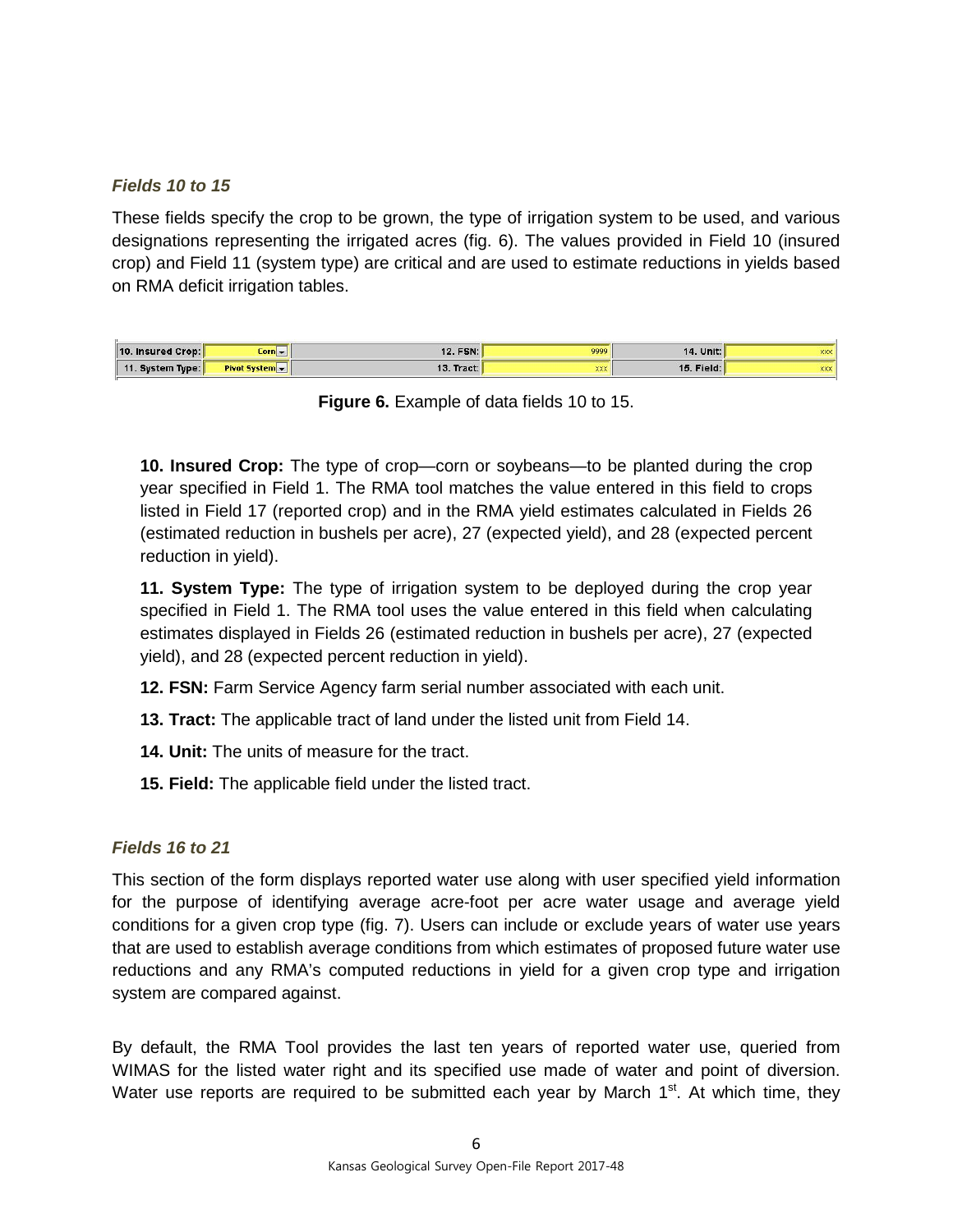## *Fields 10 to 15*

These fields specify the crop to be grown, the type of irrigation system to be used, and various designations representing the irrigated acres (fig. 6). The values provided in Field 10 (insured crop) and Field 11 (system type) are critical and are used to estimate reductions in yields based on RMA deficit irrigation tables.

| 10. Insured Crop: | $Corn -$       | 12. FSN:     | 9999       | 14. Unit:         | XXX        |
|-------------------|----------------|--------------|------------|-------------------|------------|
| 11. System Type:  | Pivot System v | 13. Tract: I | <b>XXX</b> | <b>15. Field:</b> | <b>XXX</b> |

**Figure 6.** Example of data fields 10 to 15.

**10. Insured Crop:** The type of crop—corn or soybeans—to be planted during the crop year specified in Field 1. The RMA tool matches the value entered in this field to crops listed in Field 17 (reported crop) and in the RMA yield estimates calculated in Fields 26 (estimated reduction in bushels per acre), 27 (expected yield), and 28 (expected percent reduction in yield).

**11. System Type:** The type of irrigation system to be deployed during the crop year specified in Field 1. The RMA tool uses the value entered in this field when calculating estimates displayed in Fields 26 (estimated reduction in bushels per acre), 27 (expected yield), and 28 (expected percent reduction in yield).

- **12. FSN:** Farm Service Agency farm serial number associated with each unit.
- **13. Tract:** The applicable tract of land under the listed unit from Field 14.
- **14. Unit:** The units of measure for the tract.
- **15. Field:** The applicable field under the listed tract.

#### *Fields 16 to 21*

This section of the form displays reported water use along with user specified yield information for the purpose of identifying average acre-foot per acre water usage and average yield conditions for a given crop type (fig. 7). Users can include or exclude years of water use years that are used to establish average conditions from which estimates of proposed future water use reductions and any RMA's computed reductions in yield for a given crop type and irrigation system are compared against.

By default, the RMA Tool provides the last ten years of reported water use, queried from WIMAS for the listed water right and its specified use made of water and point of diversion. Water use reports are required to be submitted each year by March  $1<sup>st</sup>$ . At which time, they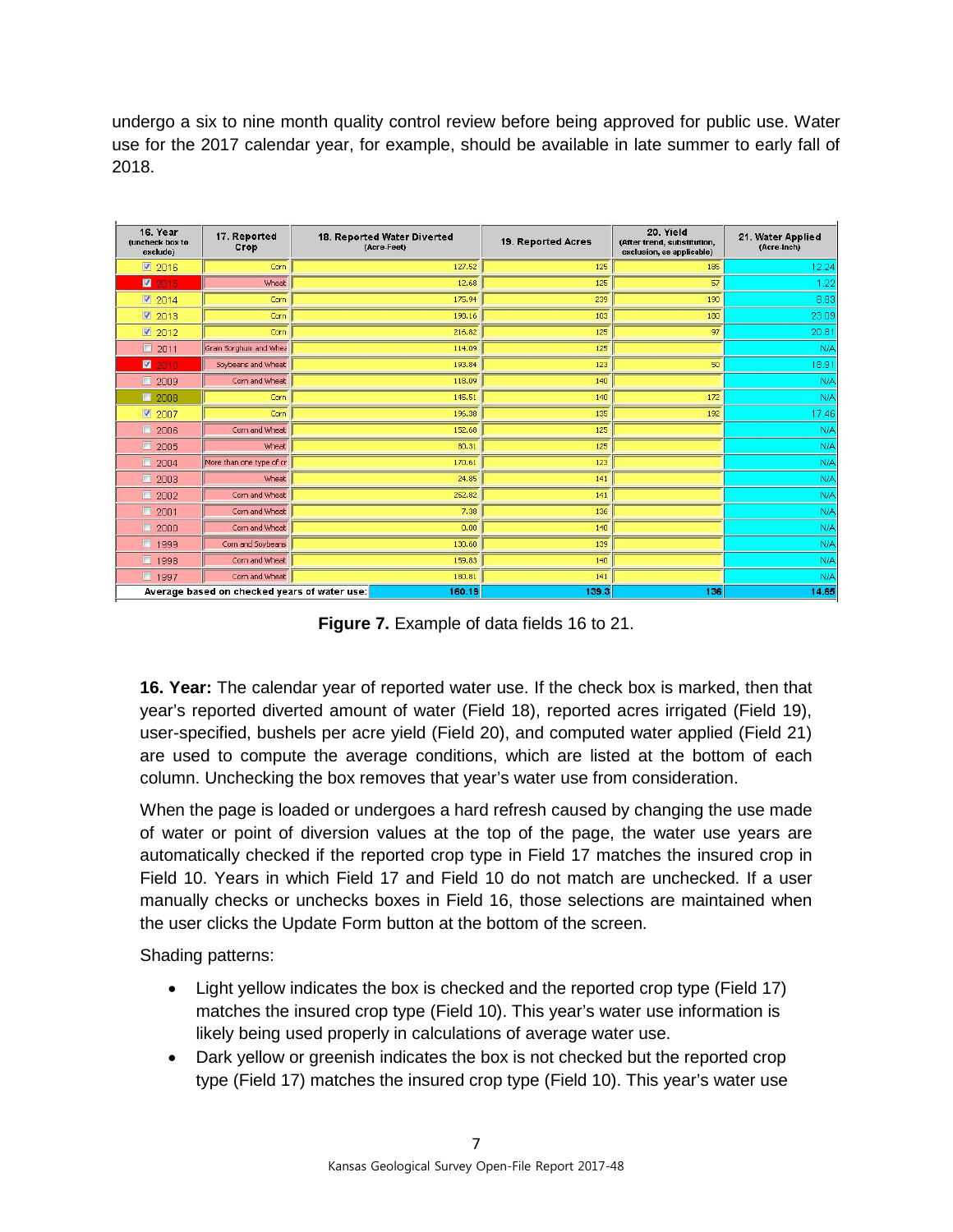undergo a six to nine month quality control review before being approved for public use. Water use for the 2017 calendar year, for example, should be available in late summer to early fall of 2018.

| 16. Year<br>(uncheck box to<br>exclude) | 17. Reported<br>Crop                         | 18. Reported Water Diverted<br>(Acre-Feet) | 19. Reported Acres | 20. Yield<br>(After trend, substitution,<br>exclusion, as applicable) | 21. Water Applied<br>(Acre-Inch) |  |
|-----------------------------------------|----------------------------------------------|--------------------------------------------|--------------------|-----------------------------------------------------------------------|----------------------------------|--|
| $\sqrt{2}$ 2016                         | Corn                                         | 127.52                                     | 125                | 185                                                                   | 12.24                            |  |
| ◙<br>2015                               | Wheat                                        | 12.68                                      | 125                | 57                                                                    | 1.22                             |  |
| 2014                                    | Corn                                         | 175.94                                     | 239                | 190                                                                   | 8.83                             |  |
| ■ 2013                                  | Corn                                         | 198.16                                     | 103                | 180                                                                   | 23.09                            |  |
| 2012                                    | Corn                                         | 216.82                                     | 125                | 97                                                                    | 20.81                            |  |
| $\square$<br>2011                       | Grain Sorghum and Whee                       | 114.09                                     | 125                |                                                                       | N/A                              |  |
| $\blacksquare$<br>2010                  | Soybeans and Wheat                           | 193.84                                     | 123                | 50                                                                    | 18.91                            |  |
| $\blacksquare$<br>2009                  | Corn and Wheat                               | 118.09                                     | 140                |                                                                       | N/A                              |  |
| $\Box$ 2008                             | Corn                                         | 145.51                                     | 140                | 172                                                                   | <b>N/A</b>                       |  |
| ■ 2007                                  | Corn                                         | 196.38                                     | 135                | 192                                                                   | 17.46                            |  |
| 價<br>2006                               | Corn and Wheat                               | 152.68                                     | 125                |                                                                       | N/A                              |  |
| $\blacksquare$<br>2005                  | Wheat                                        | 80.31                                      | 125                |                                                                       | N/A                              |  |
| $\blacksquare$<br>2004                  | More than one type of cr                     | 170.61                                     | 123                |                                                                       | <b>N/A</b>                       |  |
| $\blacksquare$<br>2003                  | Wheat                                        | 24.85                                      | 141                |                                                                       | <b>N/A</b>                       |  |
| $\square$<br>2002                       | Corn and Wheat                               | 252.82                                     | 141                |                                                                       | N/A                              |  |
| $\blacksquare$<br>2001                  | Corn and Wheat                               | 7.38                                       | 136                |                                                                       | <b>N/A</b>                       |  |
| $\Box$<br>2000                          | Corn and Wheat                               | 0.00                                       | 140                |                                                                       | <b>N/A</b>                       |  |
| $\Box$<br>1999                          | Corn and Soybeans                            | 130.60                                     | 139                |                                                                       | <b>N/A</b>                       |  |
| $\blacksquare$<br>1998                  | Corn and Wheat                               | 159.83                                     | 140                |                                                                       | <b>N/A</b>                       |  |
| $\Box$<br>1997                          | Corn and Wheat                               | 180.81                                     | 141                |                                                                       | N/A                              |  |
|                                         | Average based on checked years of water use: | 160.19                                     | 139.3              | 136                                                                   | 14.65                            |  |

**Figure 7.** Example of data fields 16 to 21.

**16. Year:** The calendar year of reported water use. If the check box is marked, then that year's reported diverted amount of water (Field 18), reported acres irrigated (Field 19), user-specified, bushels per acre yield (Field 20), and computed water applied (Field 21) are used to compute the average conditions, which are listed at the bottom of each column. Unchecking the box removes that year's water use from consideration.

When the page is loaded or undergoes a hard refresh caused by changing the use made of water or point of diversion values at the top of the page, the water use years are automatically checked if the reported crop type in Field 17 matches the insured crop in Field 10. Years in which Field 17 and Field 10 do not match are unchecked. If a user manually checks or unchecks boxes in Field 16, those selections are maintained when the user clicks the Update Form button at the bottom of the screen.

Shading patterns:

- Light yellow indicates the box is checked and the reported crop type (Field 17) matches the insured crop type (Field 10). This year's water use information is likely being used properly in calculations of average water use.
- Dark yellow or greenish indicates the box is not checked but the reported crop type (Field 17) matches the insured crop type (Field 10). This year's water use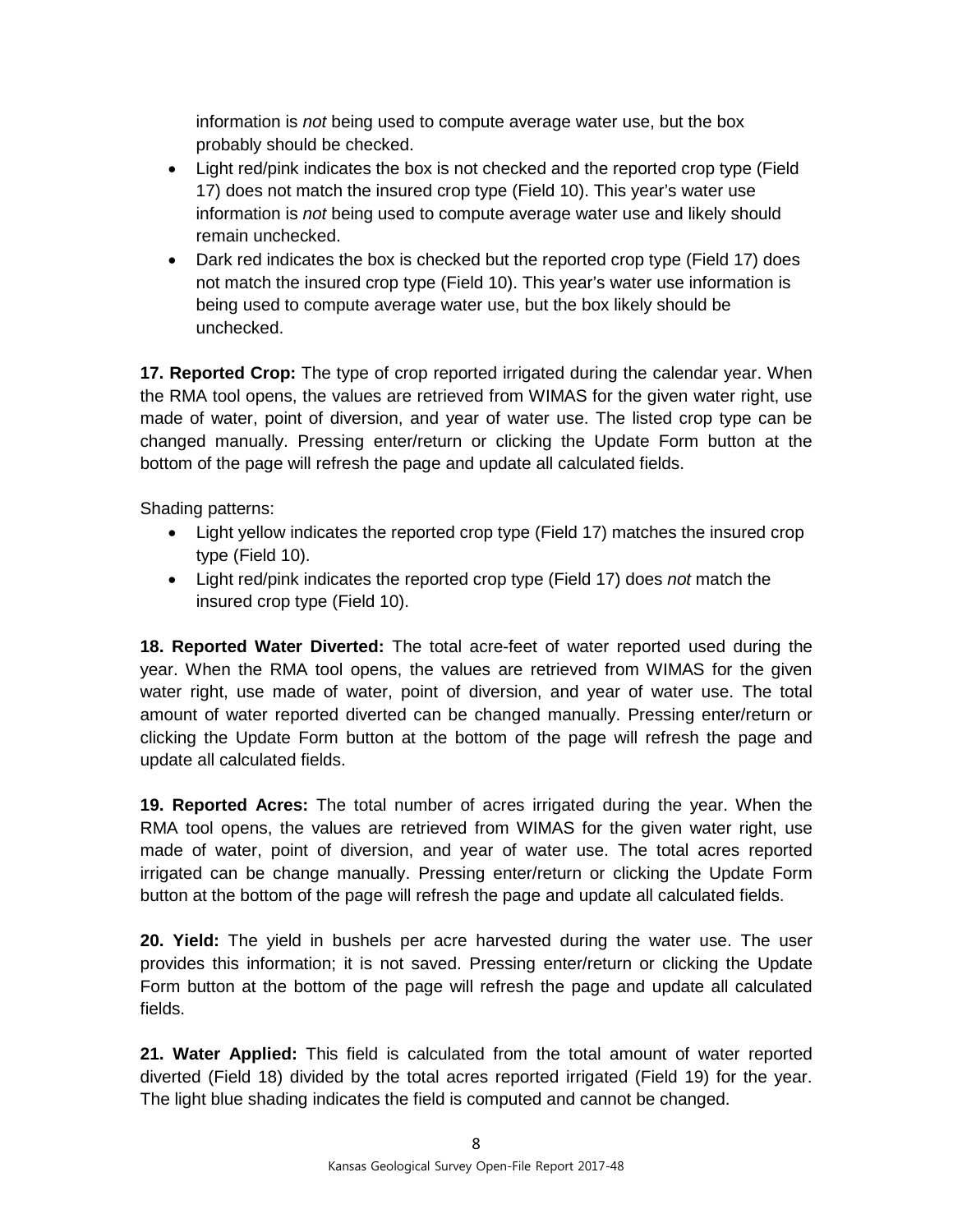information is *not* being used to compute average water use, but the box probably should be checked.

- Light red/pink indicates the box is not checked and the reported crop type (Field 17) does not match the insured crop type (Field 10). This year's water use information is *not* being used to compute average water use and likely should remain unchecked.
- Dark red indicates the box is checked but the reported crop type (Field 17) does not match the insured crop type (Field 10). This year's water use information is being used to compute average water use, but the box likely should be unchecked.

**17. Reported Crop:** The type of crop reported irrigated during the calendar year. When the RMA tool opens, the values are retrieved from WIMAS for the given water right, use made of water, point of diversion, and year of water use. The listed crop type can be changed manually. Pressing enter/return or clicking the Update Form button at the bottom of the page will refresh the page and update all calculated fields.

Shading patterns:

- Light yellow indicates the reported crop type (Field 17) matches the insured crop type (Field 10).
- Light red/pink indicates the reported crop type (Field 17) does *not* match the insured crop type (Field 10).

**18. Reported Water Diverted:** The total acre-feet of water reported used during the year. When the RMA tool opens, the values are retrieved from WIMAS for the given water right, use made of water, point of diversion, and year of water use. The total amount of water reported diverted can be changed manually. Pressing enter/return or clicking the Update Form button at the bottom of the page will refresh the page and update all calculated fields.

**19. Reported Acres:** The total number of acres irrigated during the year. When the RMA tool opens, the values are retrieved from WIMAS for the given water right, use made of water, point of diversion, and year of water use. The total acres reported irrigated can be change manually. Pressing enter/return or clicking the Update Form button at the bottom of the page will refresh the page and update all calculated fields.

**20. Yield:** The yield in bushels per acre harvested during the water use. The user provides this information; it is not saved. Pressing enter/return or clicking the Update Form button at the bottom of the page will refresh the page and update all calculated fields.

**21. Water Applied:** This field is calculated from the total amount of water reported diverted (Field 18) divided by the total acres reported irrigated (Field 19) for the year. The light blue shading indicates the field is computed and cannot be changed.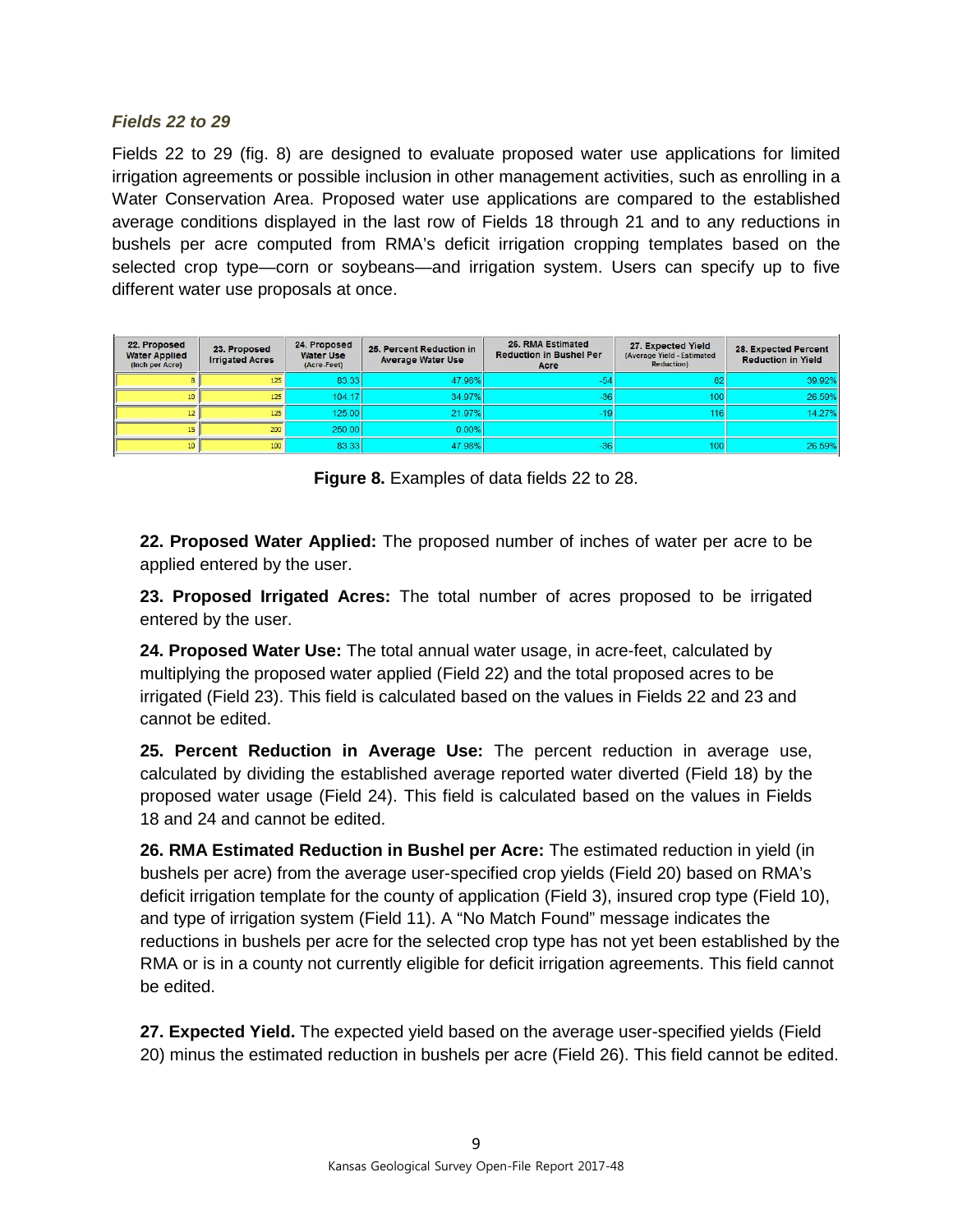#### *Fields 22 to 29*

Fields 22 to 29 (fig. 8) are designed to evaluate proposed water use applications for limited irrigation agreements or possible inclusion in other management activities, such as enrolling in a Water Conservation Area. Proposed water use applications are compared to the established average conditions displayed in the last row of Fields 18 through 21 and to any reductions in bushels per acre computed from RMA's deficit irrigation cropping templates based on the selected crop type—corn or soybeans—and irrigation system. Users can specify up to five different water use proposals at once.

| 22. Proposed<br><b>Water Applied</b><br>(Inch per Acre) | 23. Proposed<br><b>Irrigated Acres</b> | 24. Proposed<br><b>Water Use</b><br>(Acre-Feet) | 25. Percent Reduction in<br><b>Average Water Use</b> | 26. RMA Estimated<br><b>Reduction in Bushel Per</b><br>Acre | 27. Expected Yield<br>(Average Yield - Estimated<br><b>Reduction</b> ) | 28. Expected Percent<br><b>Reduction in Yield</b> |
|---------------------------------------------------------|----------------------------------------|-------------------------------------------------|------------------------------------------------------|-------------------------------------------------------------|------------------------------------------------------------------------|---------------------------------------------------|
|                                                         | 125                                    | 83.33                                           | 47.98%                                               | -5.                                                         | 82                                                                     | 39.92%                                            |
|                                                         | 125                                    | 104.17                                          | 34.97%                                               | $-36$                                                       | 100 <sub>1</sub>                                                       | 26.59%                                            |
|                                                         | 125                                    | 125.00                                          | 21.97%                                               | -19                                                         | 116                                                                    | 14.27%                                            |
|                                                         | 200                                    | 250.00                                          | 0.00%                                                |                                                             |                                                                        |                                                   |
| 10.                                                     | 100                                    | 83.33                                           | 47.98%                                               | $-36$                                                       | 100                                                                    | 26.59%                                            |

**Figure 8.** Examples of data fields 22 to 28.

**22. Proposed Water Applied:** The proposed number of inches of water per acre to be applied entered by the user.

**23. Proposed Irrigated Acres:** The total number of acres proposed to be irrigated entered by the user.

**24. Proposed Water Use:** The total annual water usage, in acre-feet, calculated by multiplying the proposed water applied (Field 22) and the total proposed acres to be irrigated (Field 23). This field is calculated based on the values in Fields 22 and 23 and cannot be edited.

**25. Percent Reduction in Average Use:** The percent reduction in average use, calculated by dividing the established average reported water diverted (Field 18) by the proposed water usage (Field 24). This field is calculated based on the values in Fields 18 and 24 and cannot be edited.

**26. RMA Estimated Reduction in Bushel per Acre:** The estimated reduction in yield (in bushels per acre) from the average user-specified crop yields (Field 20) based on RMA's deficit irrigation template for the county of application (Field 3), insured crop type (Field 10), and type of irrigation system (Field 11). A "No Match Found" message indicates the reductions in bushels per acre for the selected crop type has not yet been established by the RMA or is in a county not currently eligible for deficit irrigation agreements. This field cannot be edited.

**27. Expected Yield.** The expected yield based on the average user-specified yields (Field 20) minus the estimated reduction in bushels per acre (Field 26). This field cannot be edited.